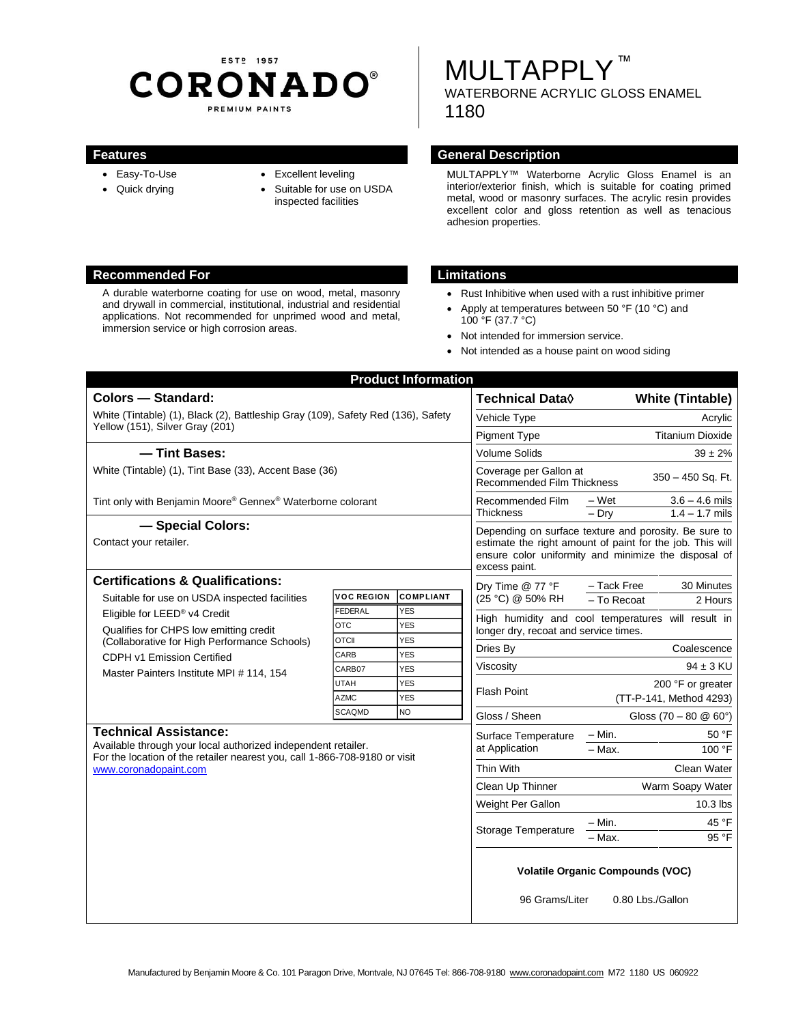# EST<sub>P</sub> 1957 **CORONADO®** PREMIUM PAINTS

# **MULTAPPLY™** WATERBORNE ACRYLIC GLOSS ENAMEL 1180

- Easy-To-Use
- Quick drying
- Excellent leveling
- Suitable for use on USDA inspected facilities

# **Features General Description**

MULTAPPLY™ Waterborne Acrylic Gloss Enamel is an interior/exterior finish, which is suitable for coating primed metal, wood or masonry surfaces. The acrylic resin provides excellent color and gloss retention as well as tenacious adhesion properties.

### **Recommended For Limitations**

A durable waterborne coating for use on wood, metal, masonry and drywall in commercial, institutional, industrial and residential applications. Not recommended for unprimed wood and metal, immersion service or high corrosion areas.

- Rust Inhibitive when used with a rust inhibitive primer
- Apply at temperatures between 50 °F (10 °C) and 100 °F (37.7 °C)
- Not intended for immersion service.
- Not intended as a house paint on wood siding

| <b>Product Information</b><br><b>Colors - Standard:</b>                                                                                                                                              |                            |                   | <b>Technical Data</b> ♦                                                                                                                                                                     | <b>White (Tintable)</b>                                  |
|------------------------------------------------------------------------------------------------------------------------------------------------------------------------------------------------------|----------------------------|-------------------|---------------------------------------------------------------------------------------------------------------------------------------------------------------------------------------------|----------------------------------------------------------|
| White (Tintable) (1), Black (2), Battleship Gray (109), Safety Red (136), Safety<br>Yellow (151), Silver Gray (201)                                                                                  |                            |                   | Vehicle Type                                                                                                                                                                                | Acrylic                                                  |
|                                                                                                                                                                                                      |                            |                   | <b>Pigment Type</b>                                                                                                                                                                         | <b>Titanium Dioxide</b>                                  |
| - Tint Bases:                                                                                                                                                                                        |                            |                   | <b>Volume Solids</b>                                                                                                                                                                        | $39 \pm 2\%$                                             |
| White (Tintable) (1), Tint Base (33), Accent Base (36)                                                                                                                                               |                            |                   | Coverage per Gallon at<br>350 - 450 Sq. Ft.<br><b>Recommended Film Thickness</b>                                                                                                            |                                                          |
| Tint only with Benjamin Moore® Gennex® Waterborne colorant                                                                                                                                           |                            |                   | Recommended Film<br><b>Thickness</b>                                                                                                                                                        | – Wet<br>$3.6 - 4.6$ mils<br>$1.4 - 1.7$ mils<br>$-$ Dry |
| - Special Colors:<br>Contact your retailer.                                                                                                                                                          |                            |                   | Depending on surface texture and porosity. Be sure to<br>estimate the right amount of paint for the job. This will<br>ensure color uniformity and minimize the disposal of<br>excess paint. |                                                          |
| <b>Certifications &amp; Qualifications:</b>                                                                                                                                                          |                            |                   | Dry Time @ 77 °F                                                                                                                                                                            | - Tack Free<br>30 Minutes                                |
| Suitable for use on USDA inspected facilities<br>Eligible for LEED® v4 Credit<br>Qualifies for CHPS low emitting credit<br>(Collaborative for High Performance Schools)                              | <b>VOC REGION</b>          | <b>COMPLIANT</b>  | (25 °C) @ 50% RH                                                                                                                                                                            | - To Recoat<br>2 Hours                                   |
|                                                                                                                                                                                                      | FEDERAL                    | <b>YES</b>        | High humidity and cool temperatures will result in<br>longer dry, recoat and service times.                                                                                                 |                                                          |
|                                                                                                                                                                                                      | <b>OTC</b><br><b>OTCII</b> | YES<br><b>YES</b> |                                                                                                                                                                                             |                                                          |
|                                                                                                                                                                                                      | CARB                       | <b>YES</b>        | Dries By                                                                                                                                                                                    | Coalescence                                              |
| CDPH v1 Emission Certified<br>Master Painters Institute MPI # 114, 154                                                                                                                               | CARB07                     | <b>YES</b>        | Viscosity                                                                                                                                                                                   | $94 \pm 3$ KU                                            |
|                                                                                                                                                                                                      | <b>UTAH</b>                | <b>YES</b>        | <b>Flash Point</b>                                                                                                                                                                          | 200 °F or greater                                        |
|                                                                                                                                                                                                      | <b>AZMC</b>                | <b>YES</b>        |                                                                                                                                                                                             | (TT-P-141, Method 4293)                                  |
|                                                                                                                                                                                                      | <b>SCAQMD</b>              | <b>NO</b>         | Gloss / Sheen                                                                                                                                                                               | Gloss $(70 - 80 \ @ 60^{\circ})$                         |
| <b>Technical Assistance:</b><br>Available through your local authorized independent retailer.<br>For the location of the retailer nearest you, call 1-866-708-9180 or visit<br>www.coronadopaint.com |                            |                   | Surface Temperature<br>at Application                                                                                                                                                       | $-$ Min.<br>50 °F<br>$-$ Max.<br>100 °F                  |
|                                                                                                                                                                                                      |                            |                   | Thin With                                                                                                                                                                                   | Clean Water                                              |
|                                                                                                                                                                                                      |                            |                   | Clean Up Thinner                                                                                                                                                                            | Warm Soapy Water                                         |
|                                                                                                                                                                                                      |                            |                   | Weight Per Gallon                                                                                                                                                                           | $10.3$ lbs                                               |
|                                                                                                                                                                                                      |                            |                   |                                                                                                                                                                                             | 45 °F<br>– Min.                                          |
|                                                                                                                                                                                                      |                            |                   | <b>Storage Temperature</b>                                                                                                                                                                  | 95 °F<br>- Max.                                          |
|                                                                                                                                                                                                      |                            |                   | <b>Volatile Organic Compounds (VOC)</b>                                                                                                                                                     |                                                          |
|                                                                                                                                                                                                      |                            |                   | 96 Grams/Liter                                                                                                                                                                              | 0.80 Lbs./Gallon                                         |